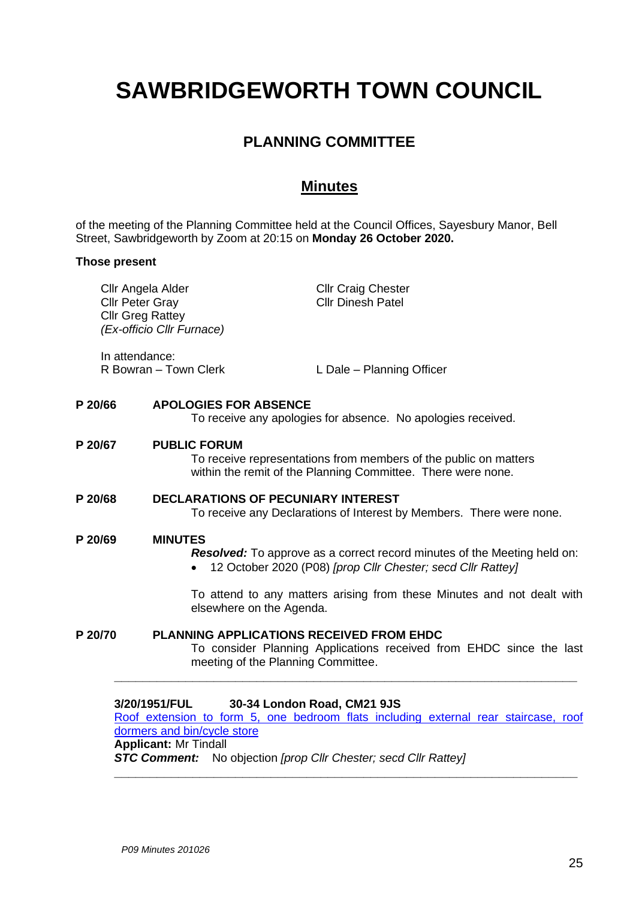# **SAWBRIDGEWORTH TOWN COUNCIL**

# **PLANNING COMMITTEE**

# **Minutes**

of the meeting of the Planning Committee held at the Council Offices, Sayesbury Manor, Bell Street, Sawbridgeworth by Zoom at 20:15 on **Monday 26 October 2020.**

#### **Those present**

|         | Cllr Angela Alder<br><b>Cllr Peter Gray</b><br><b>Cllr Greg Rattey</b><br>(Ex-officio Cllr Furnace)                                                                                                                                        | <b>Cllr Craig Chester</b><br><b>Cllr Dinesh Patel</b>                                                                                                        |  |
|---------|--------------------------------------------------------------------------------------------------------------------------------------------------------------------------------------------------------------------------------------------|--------------------------------------------------------------------------------------------------------------------------------------------------------------|--|
|         | In attendance:<br>R Bowran - Town Clerk                                                                                                                                                                                                    | L Dale - Planning Officer                                                                                                                                    |  |
| P 20/66 | <b>APOLOGIES FOR ABSENCE</b>                                                                                                                                                                                                               | To receive any apologies for absence. No apologies received.                                                                                                 |  |
| P 20/67 | <b>PUBLIC FORUM</b><br>To receive representations from members of the public on matters<br>within the remit of the Planning Committee. There were none.                                                                                    |                                                                                                                                                              |  |
| P 20/68 | <b>DECLARATIONS OF PECUNIARY INTEREST</b><br>To receive any Declarations of Interest by Members. There were none.                                                                                                                          |                                                                                                                                                              |  |
| P 20/69 | <b>MINUTES</b><br><b>Resolved:</b> To approve as a correct record minutes of the Meeting held on:<br>12 October 2020 (P08) [prop Cllr Chester; secd Cllr Rattey]<br>To attend to any matters arising from these Minutes and not dealt with |                                                                                                                                                              |  |
|         | elsewhere on the Agenda.                                                                                                                                                                                                                   |                                                                                                                                                              |  |
| P 20/70 |                                                                                                                                                                                                                                            | <b>PLANNING APPLICATIONS RECEIVED FROM EHDC</b><br>To consider Planning Applications received from EHDC since the last<br>meeting of the Planning Committee. |  |
|         | 8 (AA (4 A.E.4 (FI II                                                                                                                                                                                                                      | 30.34 London Board, CMO4.01C                                                                                                                                 |  |

## **3/20/1951/FUL 30-34 London Road, CM21 9JS**

Roof extension to [form 5, one bedroom flats including external rear staircase, roof](https://publicaccess.eastherts.gov.uk/online-applications/applicationDetails.do?activeTab=documents&keyVal=QHW1SMGLIUP00)  [dormers and bin/cycle store](https://publicaccess.eastherts.gov.uk/online-applications/applicationDetails.do?activeTab=documents&keyVal=QHW1SMGLIUP00)

**\_\_\_\_\_\_\_\_\_\_\_\_\_\_\_\_\_\_\_\_\_\_\_\_\_\_\_\_\_\_\_\_\_\_\_\_\_\_\_\_\_\_\_\_\_\_\_\_\_\_\_\_\_\_\_\_\_\_\_\_\_\_\_\_\_**

# **Applicant:** Mr Tindall

*STC Comment:* No objection *[prop Cllr Chester; secd Cllr Rattey]*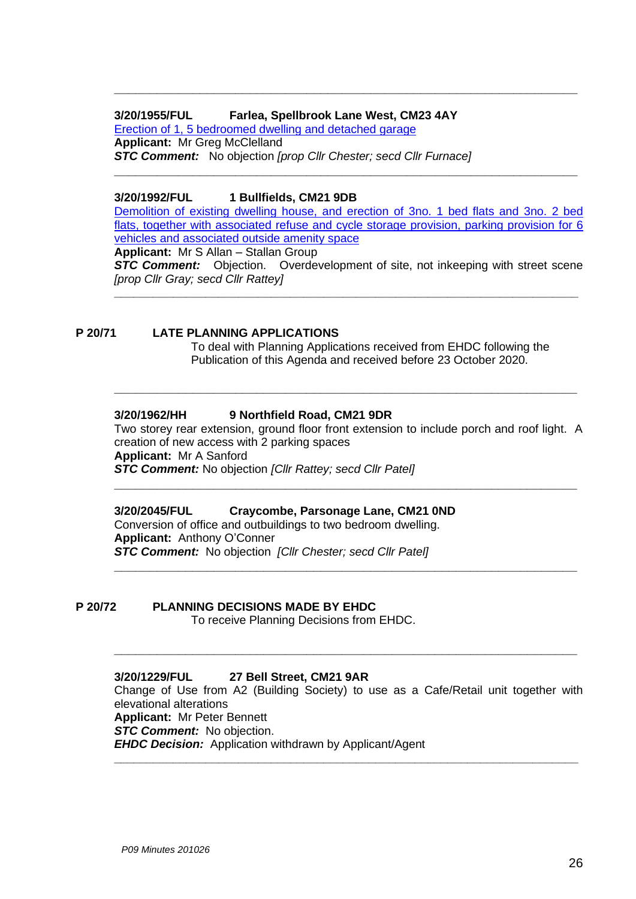### **3/20/1955/FUL Farlea, Spellbrook Lane West, CM23 4AY**

[Erection of 1, 5 bedroomed dwelling and](https://publicaccess.eastherts.gov.uk/online-applications/applicationDetails.do?activeTab=documents&keyVal=QHW1VJGLIUZ00) detached garage **Applicant:** Mr Greg McClelland *STC Comment:* No objection *[prop Cllr Chester; secd Cllr Furnace]*

#### **3/20/1992/FUL 1 Bullfields, CM21 9DB**

[Demolition of existing dwelling house, and erection of 3no. 1 bed flats and 3no. 2 bed](https://publicaccess.eastherts.gov.uk/online-applications/applicationDetails.do?activeTab=documents&keyVal=QI6JZBGLIXN00)  flats, together with associated refuse and cycle storage provision, parking provision for 6 [vehicles and associated outside amenity](https://publicaccess.eastherts.gov.uk/online-applications/applicationDetails.do?activeTab=documents&keyVal=QI6JZBGLIXN00) space

**\_\_\_\_\_\_\_\_\_\_\_\_\_\_\_\_\_\_\_\_\_\_\_\_\_\_\_\_\_\_\_\_\_\_\_\_\_\_\_\_\_\_\_\_\_\_\_\_\_\_\_\_\_\_\_\_\_\_\_\_\_\_\_\_\_**

**\_\_\_\_\_\_\_\_\_\_\_\_\_\_\_\_\_\_\_\_\_\_\_\_\_\_\_\_\_\_\_\_\_\_\_\_\_\_\_\_\_\_\_\_\_\_\_\_\_\_\_\_\_\_\_\_\_\_\_\_\_\_\_\_\_**

**Applicant:** Mr S Allan – Stallan Group

*STC Comment:* Objection. Overdevelopment of site, not inkeeping with street scene *[prop Cllr Gray; secd Cllr Rattey]* **\_\_\_\_\_\_\_\_\_\_\_\_\_\_\_\_\_\_\_\_\_\_\_\_\_\_\_\_\_\_\_\_\_\_\_\_\_\_\_\_\_\_\_\_\_\_\_\_\_\_\_\_\_\_\_\_\_\_\_\_\_\_\_\_\_\_\_\_\_\_\_**

#### **P 20/71 LATE PLANNING APPLICATIONS**

To deal with Planning Applications received from EHDC following the Publication of this Agenda and received before 23 October 2020.

### **3/20/1962/HH 9 Northfield Road, CM21 9DR**

Two storey rear extension, ground floor front extension to include porch and roof light. A creation of new access with 2 parking spaces **Applicant:** Mr A Sanford *STC Comment:* No objection *[Cllr Rattey; secd Cllr Patel]*

**\_\_\_\_\_\_\_\_\_\_\_\_\_\_\_\_\_\_\_\_\_\_\_\_\_\_\_\_\_\_\_\_\_\_\_\_\_\_\_\_\_\_\_\_\_\_\_\_\_\_\_\_\_\_\_\_\_\_\_\_\_\_\_\_\_**

**\_\_\_\_\_\_\_\_\_\_\_\_\_\_\_\_\_\_\_\_\_\_\_\_\_\_\_\_\_\_\_\_\_\_\_\_\_\_\_\_\_\_\_\_\_\_\_\_\_\_\_\_\_\_\_\_\_\_\_\_\_\_\_\_\_**

**\_\_\_\_\_\_\_\_\_\_\_\_\_\_\_\_\_\_\_\_\_\_\_\_\_\_\_\_\_\_\_\_\_\_\_\_\_\_\_\_\_\_\_\_\_\_\_\_\_\_\_\_\_\_\_\_\_\_\_\_\_\_\_\_\_**

#### **3/20/2045/FUL Craycombe, Parsonage Lane, CM21 0ND**

Conversion of office and outbuildings to two bedroom dwelling. **Applicant:** Anthony O'Conner *STC Comment:* No objection *[Cllr Chester; secd Cllr Patel]*

#### **P 20/72 PLANNING DECISIONS MADE BY EHDC**

To receive Planning Decisions from EHDC.

#### **3/20/1229/FUL 27 Bell Street, CM21 9AR** Change of Use from A2 (Building Society) to use as a Cafe/Retail unit together with elevational alterations **Applicant:** Mr Peter Bennett *STC Comment:* No objection. *EHDC Decision:* Application withdrawn by Applicant/Agent

**\_\_\_\_\_\_\_\_\_\_\_\_\_\_\_\_\_\_\_\_\_\_\_\_\_\_\_\_\_\_\_\_\_\_\_\_\_\_\_\_\_\_\_\_\_\_\_\_\_\_\_\_\_\_\_\_\_\_\_\_\_\_\_\_\_\_\_\_\_\_\_**

**\_\_\_\_\_\_\_\_\_\_\_\_\_\_\_\_\_\_\_\_\_\_\_\_\_\_\_\_\_\_\_\_\_\_\_\_\_\_\_\_\_\_\_\_\_\_\_\_\_\_\_\_\_\_\_\_\_\_\_\_\_\_\_\_\_**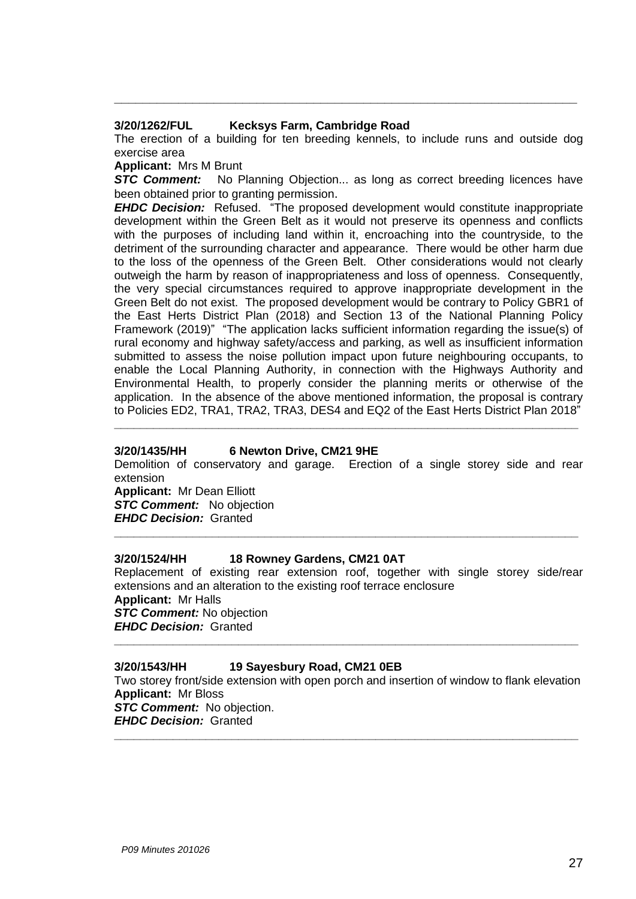#### **3/20/1262/FUL Kecksys Farm, Cambridge Road**

The erection of a building for ten breeding kennels, to include runs and outside dog exercise area

**\_\_\_\_\_\_\_\_\_\_\_\_\_\_\_\_\_\_\_\_\_\_\_\_\_\_\_\_\_\_\_\_\_\_\_\_\_\_\_\_\_\_\_\_\_\_\_\_\_\_\_\_\_\_\_\_\_\_\_\_\_\_\_\_\_**

#### **Applicant:** Mrs M Brunt

**STC Comment:** No Planning Objection... as long as correct breeding licences have been obtained prior to granting permission.

*EHDC Decision:* Refused. "The proposed development would constitute inappropriate development within the Green Belt as it would not preserve its openness and conflicts with the purposes of including land within it, encroaching into the countryside, to the detriment of the surrounding character and appearance. There would be other harm due to the loss of the openness of the Green Belt. Other considerations would not clearly outweigh the harm by reason of inappropriateness and loss of openness. Consequently, the very special circumstances required to approve inappropriate development in the Green Belt do not exist. The proposed development would be contrary to Policy GBR1 of the East Herts District Plan (2018) and Section 13 of the National Planning Policy Framework (2019)" "The application lacks sufficient information regarding the issue(s) of rural economy and highway safety/access and parking, as well as insufficient information submitted to assess the noise pollution impact upon future neighbouring occupants, to enable the Local Planning Authority, in connection with the Highways Authority and Environmental Health, to properly consider the planning merits or otherwise of the application. In the absence of the above mentioned information, the proposal is contrary to Policies ED2, TRA1, TRA2, TRA3, DES4 and EQ2 of the East Herts District Plan 2018"

#### **3/20/1435/HH 6 Newton Drive, CM21 9HE**

Demolition of conservatory and garage. Erection of a single storey side and rear extension

**\_\_\_\_\_\_\_\_\_\_\_\_\_\_\_\_\_\_\_\_\_\_\_\_\_\_\_\_\_\_\_\_\_\_\_\_\_\_\_\_\_\_\_\_\_\_\_\_\_\_\_\_\_\_\_\_\_\_\_\_\_\_\_\_\_\_\_\_\_\_\_**

**\_\_\_\_\_\_\_\_\_\_\_\_\_\_\_\_\_\_\_\_\_\_\_\_\_\_\_\_\_\_\_\_\_\_\_\_\_\_\_\_\_\_\_\_\_\_\_\_\_\_\_\_\_\_\_\_\_\_\_\_\_\_\_\_\_\_\_\_\_\_\_**

**Applicant:** Mr Dean Elliott **STC Comment:** No objection *EHDC Decision:* Granted

#### **3/20/1524/HH 18 Rowney Gardens, CM21 0AT**

Replacement of existing rear extension roof, together with single storey side/rear extensions and an alteration to the existing roof terrace enclosure **Applicant:** Mr Halls *STC Comment:* No objection *EHDC Decision:* Granted

**\_\_\_\_\_\_\_\_\_\_\_\_\_\_\_\_\_\_\_\_\_\_\_\_\_\_\_\_\_\_\_\_\_\_\_\_\_\_\_\_\_\_\_\_\_\_\_\_\_\_\_\_\_\_\_\_\_\_\_\_\_\_\_\_\_\_\_\_\_\_\_**

#### **3/20/1543/HH 19 Sayesbury Road, CM21 0EB**

Two storey front/side extension with open porch and insertion of window to flank elevation **Applicant:** Mr Bloss *STC Comment:* No objection. *EHDC Decision:* Granted

**\_\_\_\_\_\_\_\_\_\_\_\_\_\_\_\_\_\_\_\_\_\_\_\_\_\_\_\_\_\_\_\_\_\_\_\_\_\_\_\_\_\_\_\_\_\_\_\_\_\_\_\_\_\_\_\_\_\_\_\_\_\_\_\_\_\_\_\_\_\_\_**